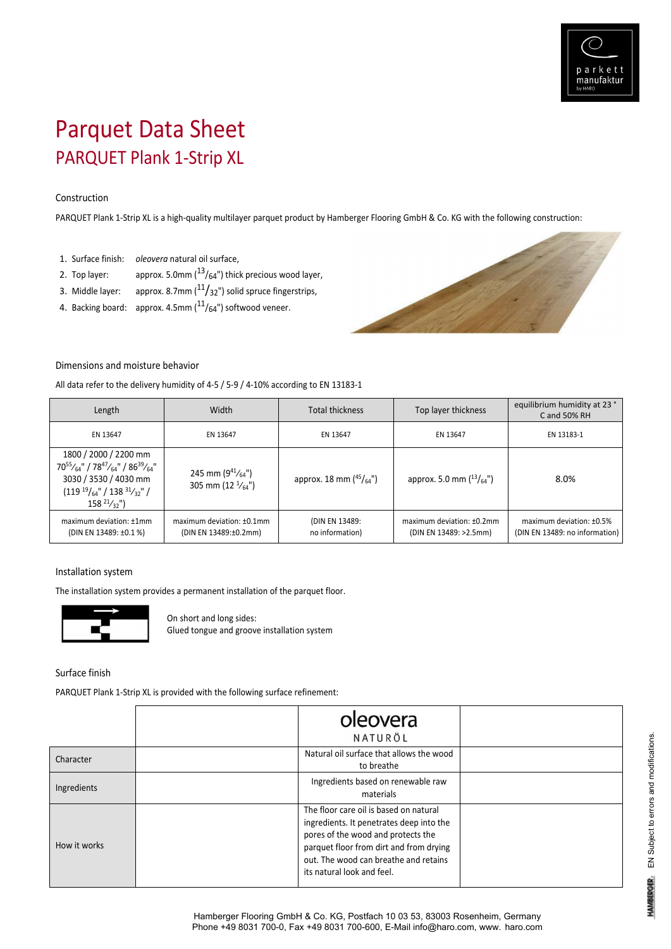

# Parquet Data Sheet PARQUET Plank 1‐Strip XL

### Construction

PARQUET Plank 1‐Strip XL is a high‐quality multilayer parquet product by Hamberger Flooring GmbH & Co. KG with the following construction:

- 1. Surface finish: *oleovera* natural oil surface,
- 2. Top layer:  $approx. 5.0mm(^{13}/64")$  thick precious wood layer,
- 3. Middle layer:  $approx. 8.7mm(^{11}/_{32}^{\prime\prime})$  solid spruce fingerstrips,
- 4. Backing board: approx. 4.5mm  $(^{11}/_{64}$ ") softwood veneer.



# Dimensions and moisture behavior

All data refer to the delivery humidity of 4‐5 / 5‐9 / 4‐10% according to EN 13183‐1

| Length                                                                                                                                                                   | Width                                                   | <b>Total thickness</b>                | Top layer thickness                                 | equilibrium humidity at 23 °<br>C and 50% RH               |
|--------------------------------------------------------------------------------------------------------------------------------------------------------------------------|---------------------------------------------------------|---------------------------------------|-----------------------------------------------------|------------------------------------------------------------|
| EN 13647                                                                                                                                                                 | EN 13647                                                | EN 13647                              | EN 13647                                            | EN 13183-1                                                 |
| 1800 / 2000 / 2200 mm<br>$70^{55}/_{64}$ " / $78^{47}/_{64}$ " / $86^{39}/_{64}$ "<br>3030 / 3530 / 4030 mm<br>$(11919/64" / 13831/32" /$<br>$158^{21/3}$ <sup>"</sup> ) | 245 mm $(9^{41}/_{64})$<br>305 mm (12 $\frac{1}{64}$ ") | approx. 18 mm $(^{45}/_{64}^{\circ})$ | approx. 5.0 mm $(^{13}/_{64})$                      | 8.0%                                                       |
| maximum deviation: ±1mm<br>(DIN EN 13489: ±0.1 %)                                                                                                                        | maximum deviation: $±0.1$ mm<br>(DIN EN 13489:±0.2mm)   | (DIN EN 13489:<br>no information)     | maximum deviation: ±0.2mm<br>(DIN EN 13489: >2.5mm) | maximum deviation: ±0.5%<br>(DIN EN 13489: no information) |

#### Installation system

The installation system provides a permanent installation of the parquet floor.



On short and long sides: Glued tongue and groove installation system

Surface finish

PARQUET Plank 1-Strip XL is provided with the following surface refinement:

|              | oleovera<br>NATURÖL                                                                                                                                                                                                                        |  |
|--------------|--------------------------------------------------------------------------------------------------------------------------------------------------------------------------------------------------------------------------------------------|--|
| Character    | Natural oil surface that allows the wood<br>to breathe                                                                                                                                                                                     |  |
| Ingredients  | Ingredients based on renewable raw<br>materials                                                                                                                                                                                            |  |
| How it works | The floor care oil is based on natural<br>ingredients. It penetrates deep into the<br>pores of the wood and protects the<br>parquet floor from dirt and from drying<br>out. The wood can breathe and retains<br>its natural look and feel. |  |